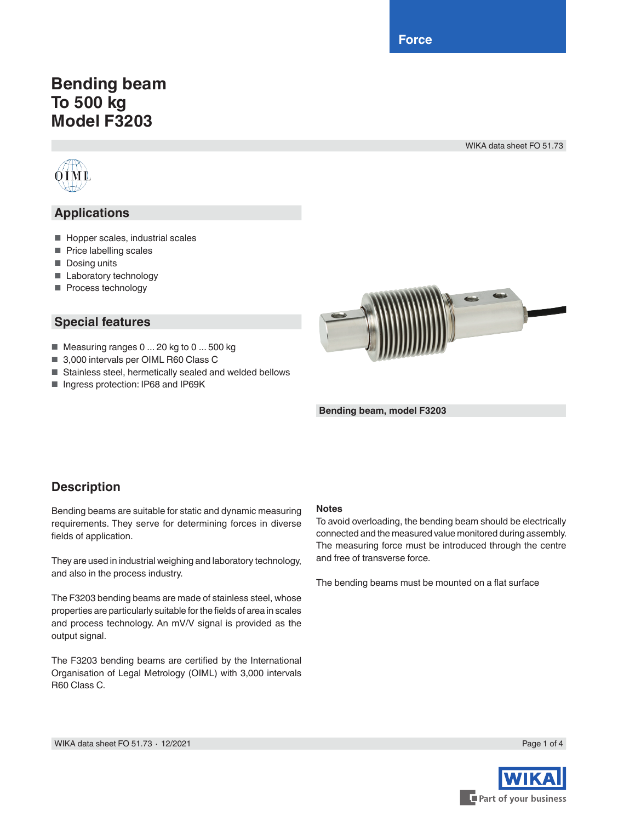**Force**

# **Bending beam To 500 kg Model F3203**

WIKA data sheet FO 51.73



### **Applications**

- Hopper scales, industrial scales
- Price labelling scales
- Dosing units
- Laboratory technology
- Process technology

#### **Special features**

- Measuring ranges 0 ... 20 kg to 0 ... 500 kg
- 3,000 intervals per OIML R60 Class C
- Stainless steel, hermetically sealed and welded bellows
- Ingress protection: IP68 and IP69K



**Bending beam, model F3203**

#### **Description**

Bending beams are suitable for static and dynamic measuring requirements. They serve for determining forces in diverse fields of application.

They are used in industrial weighing and laboratory technology, and also in the process industry.

The F3203 bending beams are made of stainless steel, whose properties are particularly suitable for the fields of area in scales and process technology. An mV/V signal is provided as the output signal.

The F3203 bending beams are certified by the International Organisation of Legal Metrology (OIML) with 3,000 intervals R60 Class C.

#### **Notes**

To avoid overloading, the bending beam should be electrically connected and the measured value monitored during assembly. The measuring force must be introduced through the centre and free of transverse force.

The bending beams must be mounted on a flat surface

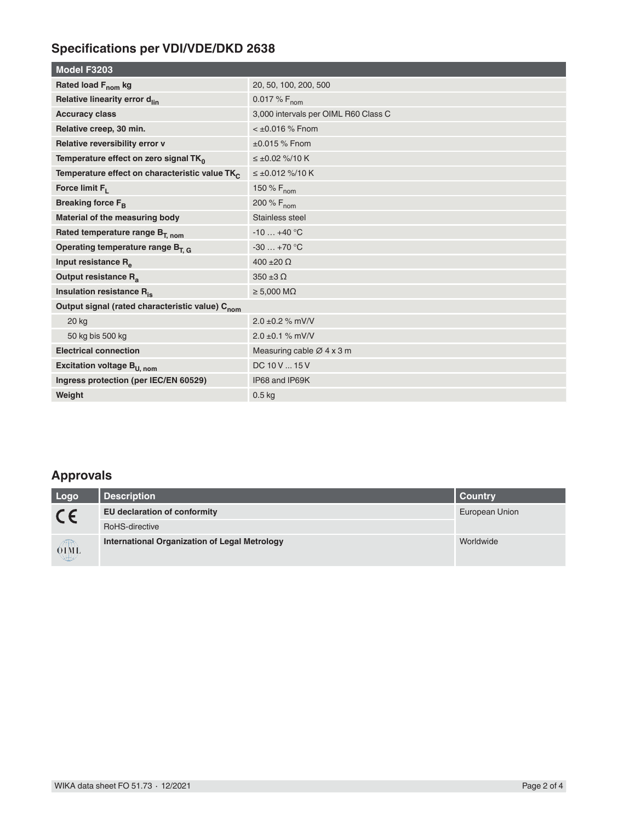## **Specifications per VDI/VDE/DKD 2638**

| Model F3203                                                 |                                      |  |
|-------------------------------------------------------------|--------------------------------------|--|
| Rated load F <sub>nom</sub> kg                              | 20, 50, 100, 200, 500                |  |
| Relative linearity error d <sub>lin</sub>                   | 0.017 % $F_{nom}$                    |  |
| <b>Accuracy class</b>                                       | 3,000 intervals per OIML R60 Class C |  |
| Relative creep, 30 min.                                     | $<$ ±0.016 % Fnom                    |  |
| Relative reversibility error v                              | $\pm 0.015$ % Fnom                   |  |
| Temperature effect on zero signal TK <sub>0</sub>           | $\leq \pm 0.02$ %/10 K               |  |
| Temperature effect on characteristic value TK               | $\leq \pm 0.012$ %/10 K              |  |
| Force limit $F_1$                                           | 150 % F <sub>nom</sub>               |  |
| Breaking force F <sub>B</sub>                               | 200 % F <sub>nom</sub>               |  |
| Material of the measuring body                              | Stainless steel                      |  |
| Rated temperature range B <sub>T. nom</sub>                 | $-10+40$ °C                          |  |
| Operating temperature range $B_{T,G}$                       | $-30+70$ °C                          |  |
| Input resistance R <sub>e</sub>                             | $400 \pm 20 \Omega$                  |  |
| Output resistance R <sub>a</sub>                            | $350 \pm 3 \Omega$                   |  |
| Insulation resistance R <sub>is</sub>                       | $\geq 5,000$ M $\Omega$              |  |
| Output signal (rated characteristic value) C <sub>nom</sub> |                                      |  |
| <b>20 kg</b>                                                | $2.0 \pm 0.2$ % mV/V                 |  |
| 50 kg bis 500 kg                                            | $2.0 \pm 0.1$ % mV/V                 |  |
| <b>Electrical connection</b>                                | Measuring cable Ø 4 x 3 m            |  |
| Excitation voltage B <sub>U, nom</sub>                      | DC 10 V  15 V                        |  |
| Ingress protection (per IEC/EN 60529)                       | IP68 and IP69K                       |  |
| Weight                                                      | 0.5 <sub>kq</sub>                    |  |

### **Approvals**

| Logo        | <b>Description</b>                            | Country        |
|-------------|-----------------------------------------------|----------------|
| $C \in$     | EU declaration of conformity                  | European Union |
|             | RoHS-directive                                |                |
| <b>OIML</b> | International Organization of Legal Metrology | Worldwide      |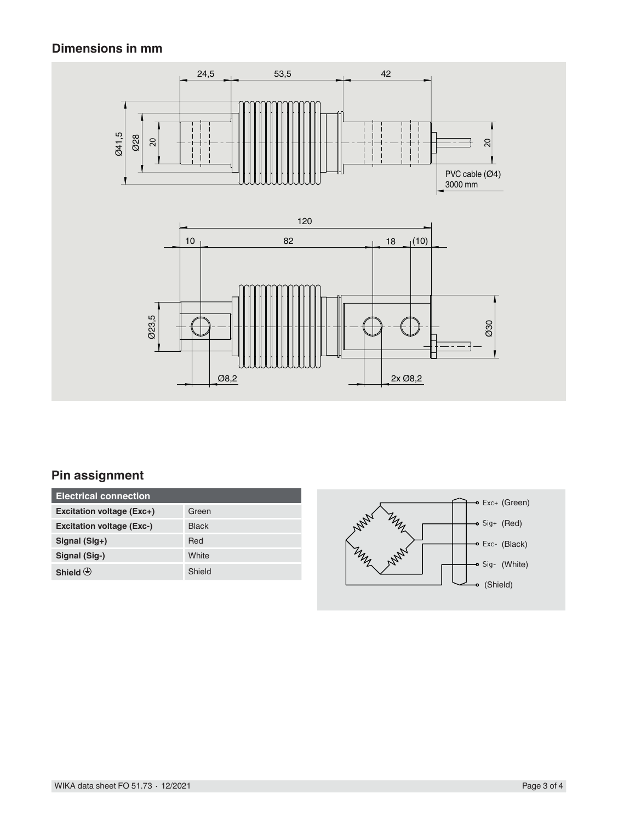#### **Dimensions in mm**



### **Pin assignment**

| <b>Electrical connection</b>     |              |
|----------------------------------|--------------|
| Excitation voltage (Exc+)        | Green        |
| <b>Excitation voltage (Exc-)</b> | <b>Black</b> |
| Signal (Sig+)                    | Red          |
| Signal (Sig-)                    | White        |
| Shield $\bigoplus$               | Shield       |